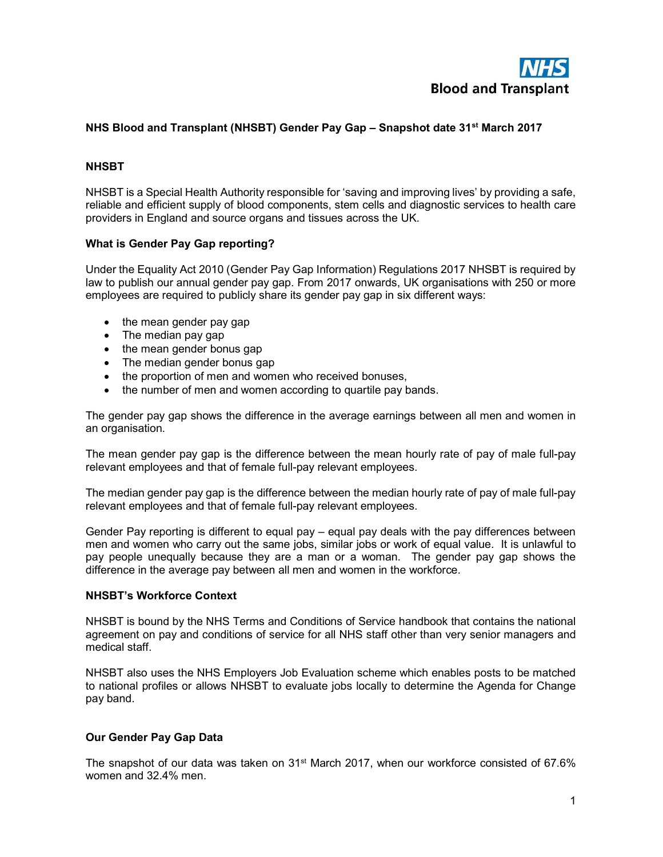

# NHS Blood and Transplant (NHSBT) Gender Pay Gap – Snapshot date 31<sup>st</sup> March 2017

### **NHSBT**

NHSBT is a Special Health Authority responsible for 'saving and improving lives' by providing a safe, reliable and efficient supply of blood components, stem cells and diagnostic services to health care providers in England and source organs and tissues across the UK.

### What is Gender Pay Gap reporting?

Under the Equality Act 2010 (Gender Pay Gap Information) Regulations 2017 NHSBT is required by law to publish our annual gender pay gap. From 2017 onwards, UK organisations with 250 or more employees are required to publicly share its gender pay gap in six different ways:

- the mean gender pay gap
- The median pay gap
- the mean gender bonus gap
- The median gender bonus gap
- the proportion of men and women who received bonuses,
- the number of men and women according to quartile pay bands.

The gender pay gap shows the difference in the average earnings between all men and women in an organisation.

The mean gender pay gap is the difference between the mean hourly rate of pay of male full-pay relevant employees and that of female full-pay relevant employees.

The median gender pay gap is the difference between the median hourly rate of pay of male full-pay relevant employees and that of female full-pay relevant employees.

Gender Pay reporting is different to equal pay – equal pay deals with the pay differences between men and women who carry out the same jobs, similar jobs or work of equal value. It is unlawful to pay people unequally because they are a man or a woman. The gender pay gap shows the difference in the average pay between all men and women in the workforce.

### NHSBT's Workforce Context

NHSBT is bound by the NHS Terms and Conditions of Service handbook that contains the national agreement on pay and conditions of service for all NHS staff other than very senior managers and medical staff.

NHSBT also uses the NHS Employers Job Evaluation scheme which enables posts to be matched to national profiles or allows NHSBT to evaluate jobs locally to determine the Agenda for Change pay band.

#### Our Gender Pay Gap Data

The snapshot of our data was taken on 31<sup>st</sup> March 2017, when our workforce consisted of 67.6% women and 32.4% men.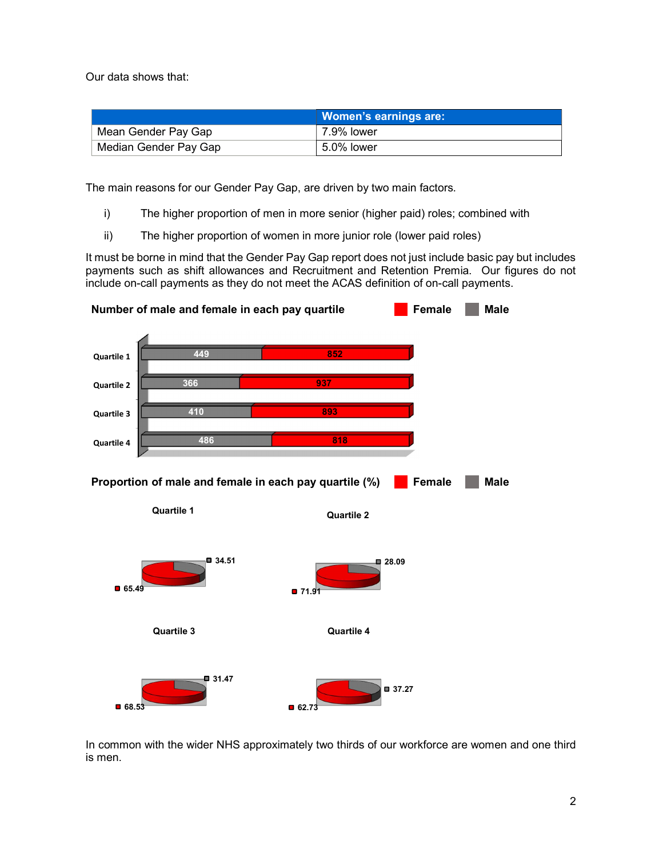Our data shows that:

|                       | <b>Women's earnings are:</b> |
|-----------------------|------------------------------|
| Mean Gender Pay Gap   | 7.9% lower                   |
| Median Gender Pay Gap | 5.0% lower                   |

The main reasons for our Gender Pay Gap, are driven by two main factors.

- i) The higher proportion of men in more senior (higher paid) roles; combined with
- ii) The higher proportion of women in more junior role (lower paid roles)

It must be borne in mind that the Gender Pay Gap report does not just include basic pay but includes payments such as shift allowances and Recruitment and Retention Premia. Our figures do not include on-call payments as they do not meet the ACAS definition of on-call payments.



In common with the wider NHS approximately two thirds of our workforce are women and one third is men.